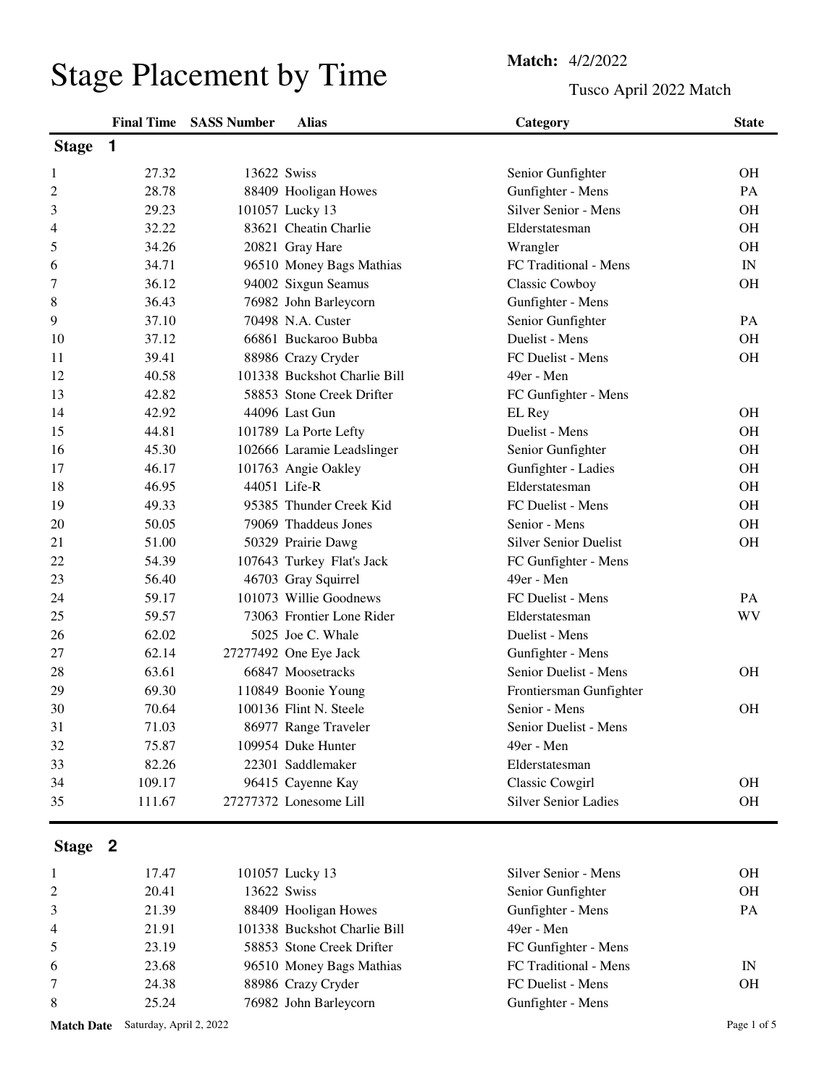## Stage Placement by Time<br>
Tusco Ar

Tusco April 2022 Match

|                |        | <b>Final Time SASS Number</b> | <b>Alias</b>                 | Category                     | <b>State</b>             |
|----------------|--------|-------------------------------|------------------------------|------------------------------|--------------------------|
| <b>Stage</b>   | 1      |                               |                              |                              |                          |
| 1              | 27.32  |                               | 13622 Swiss                  | Senior Gunfighter            | <b>OH</b>                |
| $\overline{c}$ | 28.78  |                               | 88409 Hooligan Howes         | Gunfighter - Mens            | PA                       |
| $\mathfrak{Z}$ | 29.23  |                               | 101057 Lucky 13              | <b>Silver Senior - Mens</b>  | <b>OH</b>                |
| 4              | 32.22  |                               | 83621 Cheatin Charlie        | Elderstatesman               | OH                       |
| 5              | 34.26  |                               | 20821 Gray Hare              | Wrangler                     | <b>OH</b>                |
| 6              | 34.71  |                               | 96510 Money Bags Mathias     | FC Traditional - Mens        | $\ensuremath{\text{IN}}$ |
| 7              | 36.12  |                               | 94002 Sixgun Seamus          | Classic Cowboy               | <b>OH</b>                |
| 8              | 36.43  |                               | 76982 John Barleycorn        | Gunfighter - Mens            |                          |
| 9              | 37.10  |                               | 70498 N.A. Custer            | Senior Gunfighter            | PA                       |
| 10             | 37.12  |                               | 66861 Buckaroo Bubba         | Duelist - Mens               | <b>OH</b>                |
| 11             | 39.41  |                               | 88986 Crazy Cryder           | FC Duelist - Mens            | OH                       |
| 12             | 40.58  |                               | 101338 Buckshot Charlie Bill | 49er - Men                   |                          |
| 13             | 42.82  |                               | 58853 Stone Creek Drifter    | FC Gunfighter - Mens         |                          |
| 14             | 42.92  |                               | 44096 Last Gun               | EL Rey                       | <b>OH</b>                |
| 15             | 44.81  |                               | 101789 La Porte Lefty        | Duelist - Mens               | <b>OH</b>                |
| 16             | 45.30  |                               | 102666 Laramie Leadslinger   | Senior Gunfighter            | <b>OH</b>                |
| 17             | 46.17  |                               | 101763 Angie Oakley          | Gunfighter - Ladies          | OH                       |
| 18             | 46.95  |                               | 44051 Life-R                 | Elderstatesman               | <b>OH</b>                |
| 19             | 49.33  |                               | 95385 Thunder Creek Kid      | FC Duelist - Mens            | <b>OH</b>                |
| 20             | 50.05  |                               | 79069 Thaddeus Jones         | Senior - Mens                | OH                       |
| 21             | 51.00  |                               | 50329 Prairie Dawg           | <b>Silver Senior Duelist</b> | OH                       |
| 22             | 54.39  |                               | 107643 Turkey Flat's Jack    | FC Gunfighter - Mens         |                          |
| 23             | 56.40  |                               | 46703 Gray Squirrel          | 49er - Men                   |                          |
| 24             | 59.17  |                               | 101073 Willie Goodnews       | FC Duelist - Mens            | <b>PA</b>                |
| 25             | 59.57  |                               | 73063 Frontier Lone Rider    | Elderstatesman               | <b>WV</b>                |
| 26             | 62.02  |                               | 5025 Joe C. Whale            | Duelist - Mens               |                          |
| 27             | 62.14  |                               | 27277492 One Eye Jack        | Gunfighter - Mens            |                          |
| 28             | 63.61  |                               | 66847 Moosetracks            | Senior Duelist - Mens        | <b>OH</b>                |
| 29             | 69.30  |                               | 110849 Boonie Young          | Frontiersman Gunfighter      |                          |
| 30             | 70.64  |                               | 100136 Flint N. Steele       | Senior - Mens                | <b>OH</b>                |
| 31             | 71.03  |                               | 86977 Range Traveler         | Senior Duelist - Mens        |                          |
| 32             | 75.87  |                               | 109954 Duke Hunter           | 49er - Men                   |                          |
| 33             | 82.26  |                               | 22301 Saddlemaker            | Elderstatesman               |                          |
| 34             | 109.17 |                               | 96415 Cayenne Kay            | Classic Cowgirl              | OH                       |
| 35             | 111.67 |                               | 27277372 Lonesome Lill       | <b>Silver Senior Ladies</b>  | OH                       |

## **Stage 2**

|                 | 17.47 | 101057 Lucky 13              | Silver Senior - Mens  | OН        |
|-----------------|-------|------------------------------|-----------------------|-----------|
| 2               | 20.41 | 13622 Swiss                  | Senior Gunfighter     | OН        |
| 3               | 21.39 | 88409 Hooligan Howes         | Gunfighter - Mens     | <b>PA</b> |
| $\overline{4}$  | 21.91 | 101338 Buckshot Charlie Bill | 49er - Men            |           |
| 5               | 23.19 | 58853 Stone Creek Drifter    | FC Gunfighter - Mens  |           |
| 6               | 23.68 | 96510 Money Bags Mathias     | FC Traditional - Mens | IN        |
| $7\overline{ }$ | 24.38 | 88986 Crazy Cryder           | FC Duelist - Mens     | OН        |
| 8               | 25.24 | 76982 John Barleycorn        | Gunfighter - Mens     |           |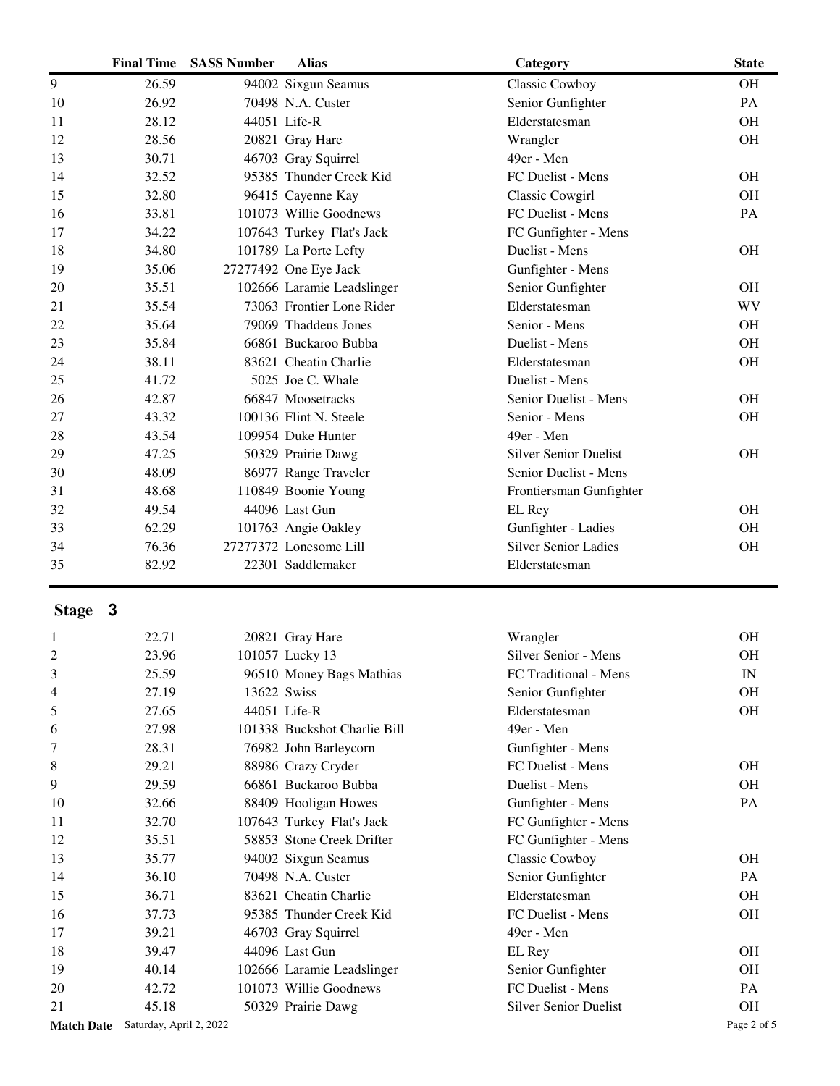|                   | <b>Final Time</b>       | <b>SASS Number</b> | <b>Alias</b>                 | Category                     | <b>State</b> |
|-------------------|-------------------------|--------------------|------------------------------|------------------------------|--------------|
| $\overline{9}$    | 26.59                   |                    | 94002 Sixgun Seamus          | Classic Cowboy               | <b>OH</b>    |
| 10                | 26.92                   |                    | 70498 N.A. Custer            | Senior Gunfighter            | PA           |
| 11                | 28.12                   |                    | 44051 Life-R                 | Elderstatesman               | <b>OH</b>    |
| 12                | 28.56                   |                    | 20821 Gray Hare              | Wrangler                     | <b>OH</b>    |
| 13                | 30.71                   |                    | 46703 Gray Squirrel          | 49er - Men                   |              |
| 14                | 32.52                   |                    | 95385 Thunder Creek Kid      | FC Duelist - Mens            | <b>OH</b>    |
| 15                | 32.80                   |                    | 96415 Cayenne Kay            | Classic Cowgirl              | <b>OH</b>    |
| 16                | 33.81                   |                    | 101073 Willie Goodnews       | FC Duelist - Mens            | PA           |
| 17                | 34.22                   |                    | 107643 Turkey Flat's Jack    | FC Gunfighter - Mens         |              |
| 18                | 34.80                   |                    | 101789 La Porte Lefty        | Duelist - Mens               | <b>OH</b>    |
| 19                | 35.06                   |                    | 27277492 One Eye Jack        | Gunfighter - Mens            |              |
| 20                | 35.51                   |                    | 102666 Laramie Leadslinger   | Senior Gunfighter            | <b>OH</b>    |
| 21                | 35.54                   |                    | 73063 Frontier Lone Rider    | Elderstatesman               | <b>WV</b>    |
| 22                | 35.64                   |                    | 79069 Thaddeus Jones         | Senior - Mens                | <b>OH</b>    |
| 23                | 35.84                   |                    | 66861 Buckaroo Bubba         | Duelist - Mens               | <b>OH</b>    |
| 24                | 38.11                   |                    | 83621 Cheatin Charlie        | Elderstatesman               | <b>OH</b>    |
| 25                | 41.72                   |                    | 5025 Joe C. Whale            | Duelist - Mens               |              |
| 26                | 42.87                   |                    | 66847 Moosetracks            | Senior Duelist - Mens        | <b>OH</b>    |
| 27                | 43.32                   |                    | 100136 Flint N. Steele       | Senior - Mens                | <b>OH</b>    |
| 28                | 43.54                   |                    | 109954 Duke Hunter           | 49er - Men                   |              |
| 29                | 47.25                   |                    | 50329 Prairie Dawg           | <b>Silver Senior Duelist</b> | <b>OH</b>    |
| 30                | 48.09                   |                    | 86977 Range Traveler         | Senior Duelist - Mens        |              |
| 31                | 48.68                   |                    | 110849 Boonie Young          | Frontiersman Gunfighter      |              |
| 32                | 49.54                   |                    | 44096 Last Gun               | EL Rey                       | <b>OH</b>    |
| 33                | 62.29                   |                    | 101763 Angie Oakley          | Gunfighter - Ladies          | <b>OH</b>    |
| 34                | 76.36                   |                    | 27277372 Lonesome Lill       | <b>Silver Senior Ladies</b>  | <b>OH</b>    |
| 35                | 82.92                   |                    | 22301 Saddlemaker            | Elderstatesman               |              |
| Stage 3           |                         |                    |                              |                              |              |
| 1                 | 22.71                   |                    | 20821 Gray Hare              | Wrangler                     | <b>OH</b>    |
| 2                 | 23.96                   |                    | 101057 Lucky 13              | Silver Senior - Mens         | <b>OH</b>    |
| 3                 | 25.59                   |                    | 96510 Money Bags Mathias     | FC Traditional - Mens        | IN           |
| 4                 | 27.19                   | 13622 Swiss        |                              | Senior Gunfighter            | OH           |
| 5                 | 27.65                   |                    | 44051 Life-R                 | Elderstatesman               | OH           |
| 6                 | 27.98                   |                    | 101338 Buckshot Charlie Bill | 49er - Men                   |              |
| 7                 | 28.31                   |                    | 76982 John Barleycorn        | Gunfighter - Mens            |              |
| 8                 | 29.21                   |                    | 88986 Crazy Cryder           | FC Duelist - Mens            | OH           |
| 9                 | 29.59                   |                    | 66861 Buckaroo Bubba         | Duelist - Mens               | <b>OH</b>    |
| 10                | 32.66                   |                    | 88409 Hooligan Howes         | Gunfighter - Mens            | PA           |
| 11                | 32.70                   |                    | 107643 Turkey Flat's Jack    | FC Gunfighter - Mens         |              |
| 12                | 35.51                   |                    | 58853 Stone Creek Drifter    | FC Gunfighter - Mens         |              |
| 13                | 35.77                   |                    | 94002 Sixgun Seamus          | <b>Classic Cowboy</b>        | <b>OH</b>    |
| 14                | 36.10                   |                    | 70498 N.A. Custer            | Senior Gunfighter            | PA           |
| 15                | 36.71                   |                    | 83621 Cheatin Charlie        | Elderstatesman               | OH           |
| 16                | 37.73                   |                    | 95385 Thunder Creek Kid      | FC Duelist - Mens            | OH           |
| 17                | 39.21                   |                    | 46703 Gray Squirrel          | 49er - Men                   |              |
| 18                | 39.47                   |                    | 44096 Last Gun               | EL Rey                       | OH           |
| 19                | 40.14                   |                    | 102666 Laramie Leadslinger   | Senior Gunfighter            | OH           |
| 20                | 42.72                   |                    | 101073 Willie Goodnews       | FC Duelist - Mens            | PA           |
| 21                | 45.18                   |                    | 50329 Prairie Dawg           | <b>Silver Senior Duelist</b> | OH           |
| <b>Match Date</b> | Saturday, April 2, 2022 |                    |                              |                              | Page 2 of 5  |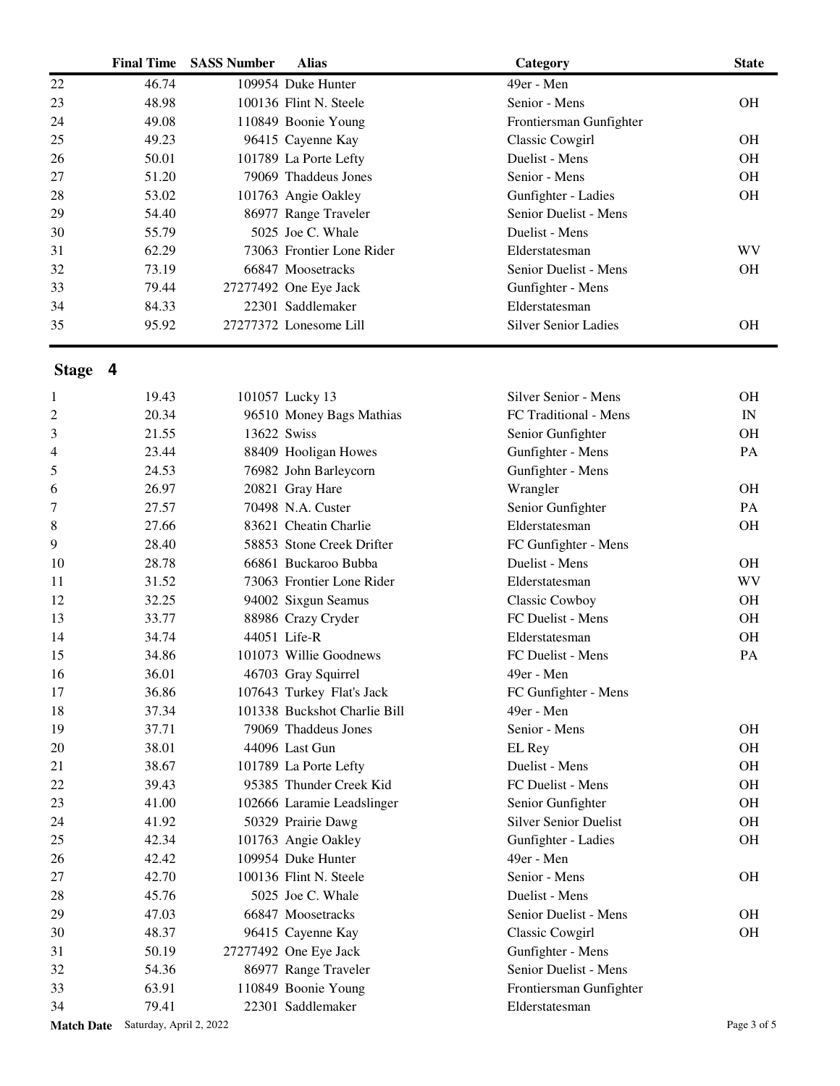|    | <b>Final Time</b> | <b>SASS Number</b> | <b>Alias</b>              | Category                    | <b>State</b> |
|----|-------------------|--------------------|---------------------------|-----------------------------|--------------|
| 22 | 46.74             |                    | 109954 Duke Hunter        | 49er - Men                  |              |
| 23 | 48.98             |                    | 100136 Flint N. Steele    | Senior - Mens               | <b>OH</b>    |
| 24 | 49.08             |                    | 110849 Boonie Young       | Frontiersman Gunfighter     |              |
| 25 | 49.23             |                    | 96415 Cayenne Kay         | Classic Cowgirl             | <b>OH</b>    |
| 26 | 50.01             |                    | 101789 La Porte Lefty     | Duelist - Mens              | <b>OH</b>    |
| 27 | 51.20             |                    | 79069 Thaddeus Jones      | Senior - Mens               | <b>OH</b>    |
| 28 | 53.02             |                    | 101763 Angie Oakley       | Gunfighter - Ladies         | <b>OH</b>    |
| 29 | 54.40             |                    | 86977 Range Traveler      | Senior Duelist - Mens       |              |
| 30 | 55.79             |                    | 5025 Joe C. Whale         | Duelist - Mens              |              |
| 31 | 62.29             |                    | 73063 Frontier Lone Rider | Elderstatesman              | <b>WV</b>    |
| 32 | 73.19             |                    | 66847 Moosetracks         | Senior Duelist - Mens       | <b>OH</b>    |
| 33 | 79.44             |                    | 27277492 One Eye Jack     | Gunfighter - Mens           |              |
| 34 | 84.33             |                    | 22301 Saddlemaker         | Elderstatesman              |              |
| 35 | 95.92             |                    | 27277372 Lonesome Lill    | <b>Silver Senior Ladies</b> | <b>OH</b>    |

## **Stage 4**

| 1                 | 19.43                   |             | 101057 Lucky 13              | Silver Senior - Mens         | <b>OH</b>   |
|-------------------|-------------------------|-------------|------------------------------|------------------------------|-------------|
| $\overline{c}$    | 20.34                   |             | 96510 Money Bags Mathias     | FC Traditional - Mens        | IN          |
| 3                 | 21.55                   | 13622 Swiss |                              | Senior Gunfighter            | <b>OH</b>   |
| 4                 | 23.44                   |             | 88409 Hooligan Howes         | Gunfighter - Mens            | PA          |
| 5                 | 24.53                   |             | 76982 John Barleycorn        | Gunfighter - Mens            |             |
| 6                 | 26.97                   |             | 20821 Gray Hare              | Wrangler                     | <b>OH</b>   |
| 7                 | 27.57                   |             | 70498 N.A. Custer            | Senior Gunfighter            | PA          |
| 8                 | 27.66                   |             | 83621 Cheatin Charlie        | Elderstatesman               | <b>OH</b>   |
| 9                 | 28.40                   |             | 58853 Stone Creek Drifter    | FC Gunfighter - Mens         |             |
| 10                | 28.78                   |             | 66861 Buckaroo Bubba         | Duelist - Mens               | <b>OH</b>   |
| 11                | 31.52                   |             | 73063 Frontier Lone Rider    | Elderstatesman               | <b>WV</b>   |
| 12                | 32.25                   |             | 94002 Sixgun Seamus          | Classic Cowboy               | <b>OH</b>   |
| 13                | 33.77                   |             | 88986 Crazy Cryder           | FC Duelist - Mens            | OH          |
| 14                | 34.74                   |             | 44051 Life-R                 | Elderstatesman               | <b>OH</b>   |
| 15                | 34.86                   |             | 101073 Willie Goodnews       | FC Duelist - Mens            | PA          |
| 16                | 36.01                   |             | 46703 Gray Squirrel          | 49er - Men                   |             |
| 17                | 36.86                   |             | 107643 Turkey Flat's Jack    | FC Gunfighter - Mens         |             |
| 18                | 37.34                   |             | 101338 Buckshot Charlie Bill | 49er - Men                   |             |
| 19                | 37.71                   |             | 79069 Thaddeus Jones         | Senior - Mens                | <b>OH</b>   |
| 20                | 38.01                   |             | 44096 Last Gun               | EL Rey                       | OH          |
| 21                | 38.67                   |             | 101789 La Porte Lefty        | Duelist - Mens               | <b>OH</b>   |
| 22                | 39.43                   |             | 95385 Thunder Creek Kid      | FC Duelist - Mens            | <b>OH</b>   |
| 23                | 41.00                   |             | 102666 Laramie Leadslinger   | Senior Gunfighter            | <b>OH</b>   |
| 24                | 41.92                   |             | 50329 Prairie Dawg           | <b>Silver Senior Duelist</b> | <b>OH</b>   |
| 25                | 42.34                   |             | 101763 Angie Oakley          | Gunfighter - Ladies          | <b>OH</b>   |
| 26                | 42.42                   |             | 109954 Duke Hunter           | 49er - Men                   |             |
| 27                | 42.70                   |             | 100136 Flint N. Steele       | Senior - Mens                | <b>OH</b>   |
| 28                | 45.76                   |             | 5025 Joe C. Whale            | Duelist - Mens               |             |
| 29                | 47.03                   |             | 66847 Moosetracks            | Senior Duelist - Mens        | <b>OH</b>   |
| 30                | 48.37                   |             | 96415 Cayenne Kay            | Classic Cowgirl              | <b>OH</b>   |
| 31                | 50.19                   |             | 27277492 One Eye Jack        | Gunfighter - Mens            |             |
| 32                | 54.36                   |             | 86977 Range Traveler         | Senior Duelist - Mens        |             |
| 33                | 63.91                   |             | 110849 Boonie Young          | Frontiersman Gunfighter      |             |
| 34                | 79.41                   |             | 22301 Saddlemaker            | Elderstatesman               |             |
| <b>Match Date</b> | Saturday, April 2, 2022 |             |                              |                              | Page 3 of 5 |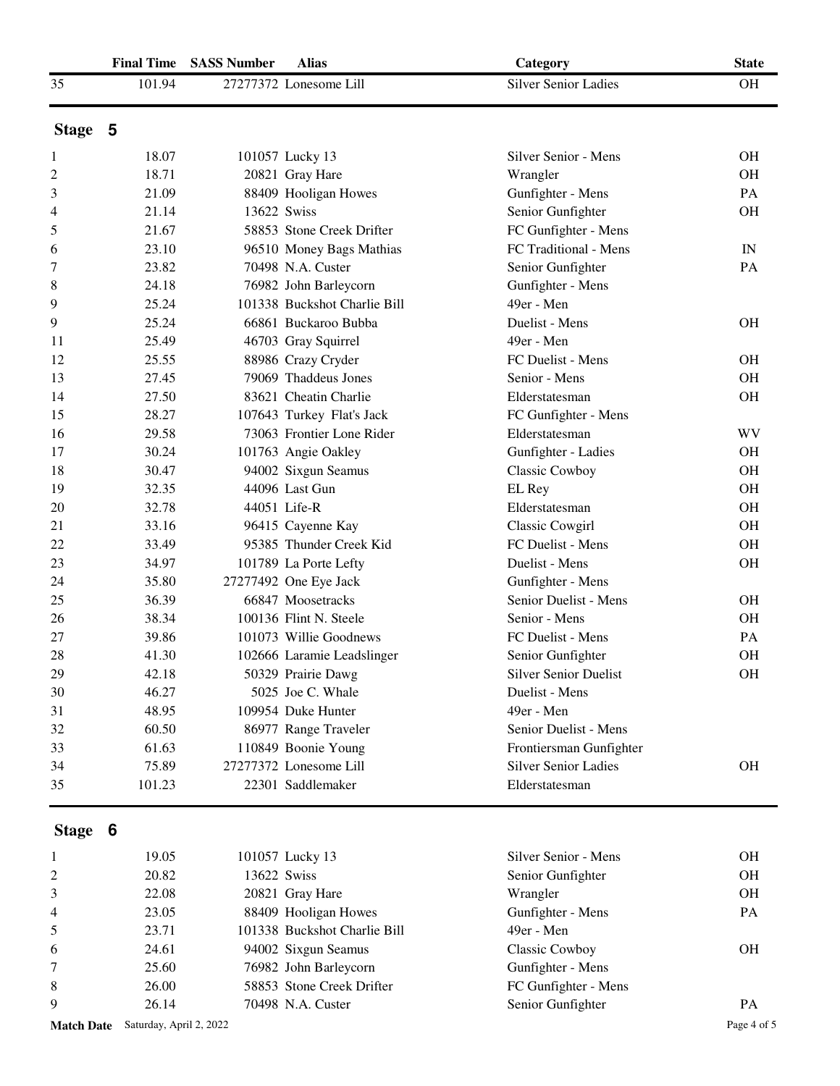|                   | <b>Final Time</b>       | <b>SASS Number</b> | <b>Alias</b>                 | Category                     | <b>State</b> |
|-------------------|-------------------------|--------------------|------------------------------|------------------------------|--------------|
| 35                | 101.94                  |                    | 27277372 Lonesome Lill       | <b>Silver Senior Ladies</b>  | <b>OH</b>    |
| Stage 5           |                         |                    |                              |                              |              |
| 1                 | 18.07                   |                    | 101057 Lucky 13              | Silver Senior - Mens         | <b>OH</b>    |
| 2                 | 18.71                   |                    | 20821 Gray Hare              | Wrangler                     | <b>OH</b>    |
| 3                 | 21.09                   |                    | 88409 Hooligan Howes         | Gunfighter - Mens            | PA           |
| 4                 | 21.14                   | 13622 Swiss        |                              | Senior Gunfighter            | <b>OH</b>    |
| 5                 | 21.67                   |                    | 58853 Stone Creek Drifter    | FC Gunfighter - Mens         |              |
| 6                 | 23.10                   |                    | 96510 Money Bags Mathias     | FC Traditional - Mens        | IN           |
| 7                 | 23.82                   |                    | 70498 N.A. Custer            | Senior Gunfighter            | PA           |
| 8                 | 24.18                   |                    | 76982 John Barleycorn        | Gunfighter - Mens            |              |
| 9                 | 25.24                   |                    | 101338 Buckshot Charlie Bill | 49er - Men                   |              |
| 9                 | 25.24                   |                    | 66861 Buckaroo Bubba         | Duelist - Mens               | <b>OH</b>    |
| 11                | 25.49                   |                    | 46703 Gray Squirrel          | 49er - Men                   |              |
| 12                | 25.55                   |                    | 88986 Crazy Cryder           | FC Duelist - Mens            | <b>OH</b>    |
| 13                | 27.45                   |                    | 79069 Thaddeus Jones         | Senior - Mens                | <b>OH</b>    |
| 14                | 27.50                   |                    | 83621 Cheatin Charlie        | Elderstatesman               | <b>OH</b>    |
| 15                | 28.27                   |                    | 107643 Turkey Flat's Jack    | FC Gunfighter - Mens         |              |
| 16                | 29.58                   |                    | 73063 Frontier Lone Rider    | Elderstatesman               | WV           |
| 17                | 30.24                   |                    | 101763 Angie Oakley          | Gunfighter - Ladies          | <b>OH</b>    |
| 18                | 30.47                   |                    | 94002 Sixgun Seamus          | Classic Cowboy               | <b>OH</b>    |
| 19                | 32.35                   |                    | 44096 Last Gun               | EL Rey                       | <b>OH</b>    |
| 20                | 32.78                   |                    | 44051 Life-R                 | Elderstatesman               | <b>OH</b>    |
| 21                | 33.16                   |                    | 96415 Cayenne Kay            | Classic Cowgirl              | <b>OH</b>    |
| 22                | 33.49                   |                    | 95385 Thunder Creek Kid      | FC Duelist - Mens            | <b>OH</b>    |
| 23                | 34.97                   |                    | 101789 La Porte Lefty        | Duelist - Mens               | <b>OH</b>    |
| 24                | 35.80                   |                    | 27277492 One Eye Jack        | Gunfighter - Mens            |              |
| 25                | 36.39                   |                    | 66847 Moosetracks            | Senior Duelist - Mens        | <b>OH</b>    |
| 26                | 38.34                   |                    | 100136 Flint N. Steele       | Senior - Mens                | <b>OH</b>    |
| 27                | 39.86                   |                    | 101073 Willie Goodnews       | FC Duelist - Mens            | PA           |
| 28                | 41.30                   |                    | 102666 Laramie Leadslinger   | Senior Gunfighter            | <b>OH</b>    |
| 29                | 42.18                   |                    | 50329 Prairie Dawg           | <b>Silver Senior Duelist</b> | <b>OH</b>    |
| 30                | 46.27                   |                    | 5025 Joe C. Whale            | Duelist - Mens               |              |
| 31                | 48.95                   |                    | 109954 Duke Hunter           | 49er - Men                   |              |
| 32                | 60.50                   |                    | 86977 Range Traveler         | Senior Duelist - Mens        |              |
| 33                | 61.63                   |                    | 110849 Boonie Young          | Frontiersman Gunfighter      |              |
| 34                | 75.89                   |                    | 27277372 Lonesome Lill       | <b>Silver Senior Ladies</b>  | <b>OH</b>    |
| 35                | 101.23                  |                    | 22301 Saddlemaker            | Elderstatesman               |              |
|                   |                         |                    |                              |                              |              |
| Stage 6           |                         |                    |                              |                              |              |
| 1                 | 19.05                   |                    | 101057 Lucky 13              | Silver Senior - Mens         | <b>OH</b>    |
| 2                 | 20.82                   | 13622 Swiss        |                              | Senior Gunfighter            | <b>OH</b>    |
| 3                 | 22.08                   |                    | 20821 Gray Hare              | Wrangler                     | <b>OH</b>    |
| 4                 | 23.05                   |                    | 88409 Hooligan Howes         | Gunfighter - Mens            | PA           |
| 5                 | 23.71                   |                    | 101338 Buckshot Charlie Bill | 49er - Men                   |              |
| 6                 | 24.61                   |                    | 94002 Sixgun Seamus          | <b>Classic Cowboy</b>        | <b>OH</b>    |
| 7                 | 25.60                   |                    | 76982 John Barleycorn        | Gunfighter - Mens            |              |
| 8                 | 26.00                   |                    | 58853 Stone Creek Drifter    | FC Gunfighter - Mens         |              |
| 9                 | 26.14                   |                    | 70498 N.A. Custer            | Senior Gunfighter            | PA           |
| <b>Match Date</b> | Saturday, April 2, 2022 |                    |                              |                              | Page 4 of 5  |